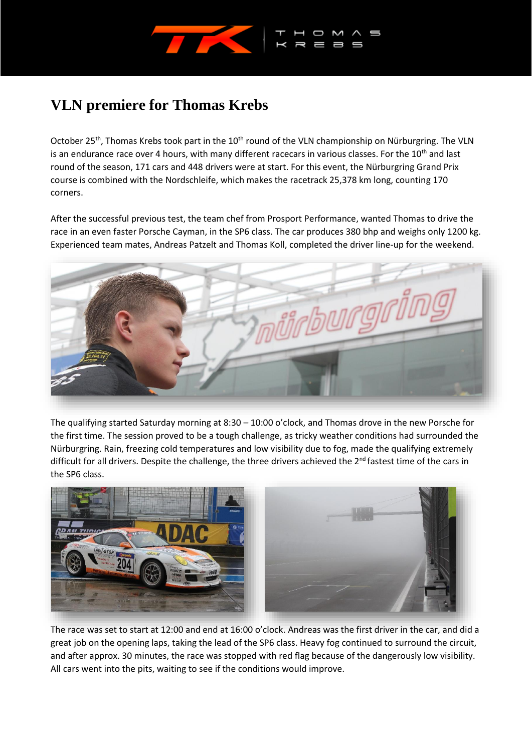

## **VLN premiere for Thomas Krebs**

October 25<sup>th</sup>, Thomas Krebs took part in the 10<sup>th</sup> round of the VLN championship on Nürburgring. The VLN is an endurance race over 4 hours, with many different racecars in various classes. For the 10<sup>th</sup> and last round of the season, 171 cars and 448 drivers were at start. For this event, the Nürburgring Grand Prix course is combined with the Nordschleife, which makes the racetrack 25,378 km long, counting 170 corners.

After the successful previous test, the team chef from Prosport Performance, wanted Thomas to drive the race in an even faster Porsche Cayman, in the SP6 class. The car produces 380 bhp and weighs only 1200 kg. Experienced team mates, Andreas Patzelt and Thomas Koll, completed the driver line-up for the weekend.



The qualifying started Saturday morning at 8:30 – 10:00 o'clock, and Thomas drove in the new Porsche for the first time. The session proved to be a tough challenge, as tricky weather conditions had surrounded the Nürburgring. Rain, freezing cold temperatures and low visibility due to fog, made the qualifying extremely difficult for all drivers. Despite the challenge, the three drivers achieved the 2<sup>nd</sup> fastest time of the cars in the SP6 class.



The race was set to start at 12:00 and end at 16:00 o'clock. Andreas was the first driver in the car, and did a great job on the opening laps, taking the lead of the SP6 class. Heavy fog continued to surround the circuit, and after approx. 30 minutes, the race was stopped with red flag because of the dangerously low visibility. All cars went into the pits, waiting to see if the conditions would improve.